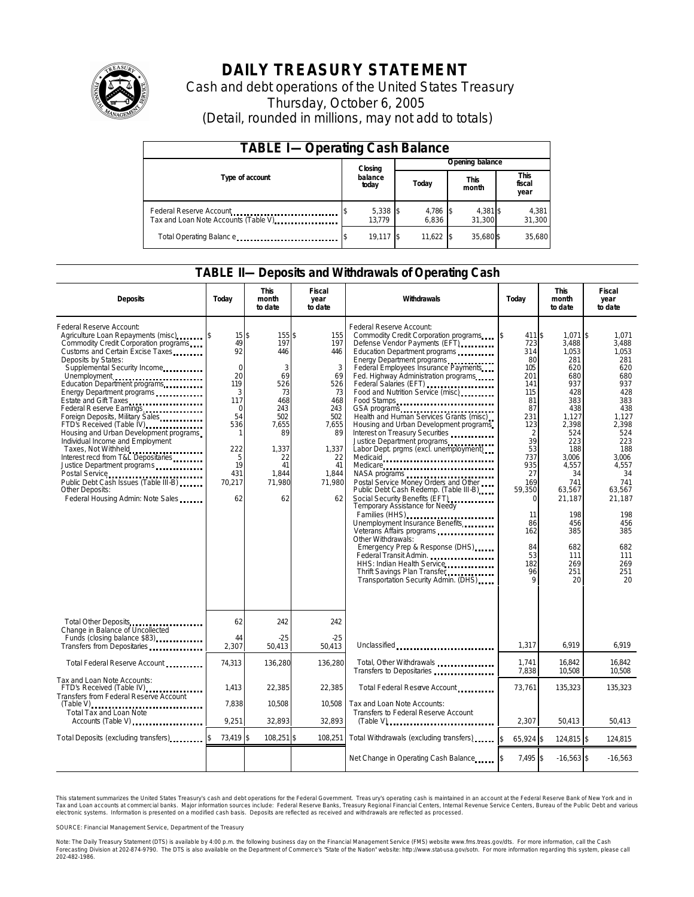

# **DAILY TREASURY STATEMENT**

Cash and debt operations of the United States Treasury Thursday, October 6, 2005 (Detail, rounded in millions, may not add to totals)

| <b>TABLE I-Operating Cash Balance</b>                                              |                  |                      |  |                   |  |                      |  |                        |  |
|------------------------------------------------------------------------------------|------------------|----------------------|--|-------------------|--|----------------------|--|------------------------|--|
|                                                                                    |                  | Closing              |  | Opening balance   |  |                      |  |                        |  |
| Type of account                                                                    | balance<br>today |                      |  | Today             |  | <b>This</b><br>month |  | This<br>fiscal<br>year |  |
| Federal Reserve Account<br>Tax and Loan Note Accounts (Table V). The manuscript of |                  | $5,338$ \$<br>13.779 |  | 4,786 \$<br>6.836 |  | 4,381 \$<br>31.300   |  | 4,381<br>31,300        |  |
| Total Operating Balance                                                            |                  | $19.117$ \$          |  | 11.622            |  | 35.680\$             |  | 35.680                 |  |

### **TABLE II—Deposits and Withdrawals of Operating Cash**

| <b>Deposits</b>                                                                                                                                                                                                                                                                                                                                                                                                                                                                                                                                                                                                                                                                     | Today                                                                                                                                  | <b>This</b><br>month<br>to date                                                                                               | Fiscal<br>year<br>to date                                                                                                   | Withdrawals                                                                                                                                                                                                                                                                                                                                                                                                                                                                                                                                                                                                                                                                                                                                                                                                                                                                                                                                                                                     | Today                                                                                                                                                                                                                      | <b>This</b><br>month<br>to date                                                                                                                                                                                                | Fiscal<br>year<br>to date                                                                                                                                                                                                 |  |
|-------------------------------------------------------------------------------------------------------------------------------------------------------------------------------------------------------------------------------------------------------------------------------------------------------------------------------------------------------------------------------------------------------------------------------------------------------------------------------------------------------------------------------------------------------------------------------------------------------------------------------------------------------------------------------------|----------------------------------------------------------------------------------------------------------------------------------------|-------------------------------------------------------------------------------------------------------------------------------|-----------------------------------------------------------------------------------------------------------------------------|-------------------------------------------------------------------------------------------------------------------------------------------------------------------------------------------------------------------------------------------------------------------------------------------------------------------------------------------------------------------------------------------------------------------------------------------------------------------------------------------------------------------------------------------------------------------------------------------------------------------------------------------------------------------------------------------------------------------------------------------------------------------------------------------------------------------------------------------------------------------------------------------------------------------------------------------------------------------------------------------------|----------------------------------------------------------------------------------------------------------------------------------------------------------------------------------------------------------------------------|--------------------------------------------------------------------------------------------------------------------------------------------------------------------------------------------------------------------------------|---------------------------------------------------------------------------------------------------------------------------------------------------------------------------------------------------------------------------|--|
| Federal Reserve Account:<br>Agriculture Loan Repayments (misc)<br>Commodity Credit Corporation programs<br>Customs and Certain Excise Taxes<br>Deposits by States:<br>Supplemental Security Income<br>Unemployment<br>Education Department programs<br>Energy Department programs<br>Estate and Gift Taxes<br>Federal Reserve Earnings<br>Foreign Deposits, Military Sales<br>FTD's Received (Table IV)<br>Housing and Urban Development programs<br>Individual Income and Employment<br>Taxes, Not Withheld<br>Interest recd from T&L Depositaries<br>Justice Department programs<br>Public Debt Cash Issues (Table III-B)<br>Other Deposits:<br>Federal Housing Admin: Note Sales | $15$ \$<br>49<br>92<br>$\mathbf 0$<br>20<br>119<br>3<br>117<br>$\mathbf 0$<br>54<br>536<br>-1<br>222<br>5<br>19<br>431<br>70,217<br>62 | 155\$<br>197<br>446<br>3<br>69<br>526<br>73<br>468<br>243<br>502<br>7,655<br>89<br>1.337<br>22<br>41<br>1,844<br>71,980<br>62 | 155<br>197<br>446<br>3<br>69<br>526<br>73<br>468<br>243<br>502<br>7,655<br>89<br>1,337<br>22<br>41<br>1,844<br>71,980<br>62 | Federal Reserve Account:<br>Commodity Credit Corporation programs<br>Defense Vendor Payments (EFT)<br>Education Department programs<br>Energy Department programs<br>Federal Employees Insurance Payments<br>Fed. Highway Administration programs<br>Federal Salaries (EFT)<br>Food and Nutrition Service (misc)<br>Food Stamps<br>GSA programs<br>Health and Human Services Grants (misc)<br>Housing and Urban Development programs<br>Interest on Treasury Securities<br>Justice Department programs<br>Labor Dept. prgms (excl. unemployment)<br>Medicaid<br>Medicare<br>NASA programs<br>Postal Service Money Orders and Other<br>Public Debt Cash Redemp. (Table III-B)<br>Social Security Benefits (EFT)<br>Temporary Assistance for Needy<br>Families (HHS)<br>Unemployment Insurance Benefits<br>Other Withdrawals:<br>Emergency Prep & Response (DHS)<br>Federal Transit Admin.<br>HHS: Indian Health Service<br>Thrift Savings Plan Transfer.<br>Transportation Security Admin. (DHS) | 411 \$<br>723<br>314<br>80<br>105<br>201<br>141<br>115<br>81<br>87<br>231<br>123<br>$\overline{2}$<br>39<br>53<br>737<br>935<br>27<br>169<br>59,350<br>$\Omega$<br>11<br>86<br>162<br>84<br>53<br>182<br>96<br>$\mathsf Q$ | $1.071$ \$<br>3,488<br>1.053<br>281<br>620<br>680<br>937<br>428<br>383<br>438<br>1,127<br>2,398<br>524<br>223<br>188<br>3.006<br>4,557<br>34<br>741<br>63,567<br>21,187<br>198<br>456<br>385<br>682<br>111<br>269<br>251<br>20 | 1.071<br>3.488<br>1.053<br>281<br>620<br>680<br>937<br>428<br>383<br>438<br>1.127<br>2,398<br>524<br>223<br>188<br>3.006<br>4,557<br>34<br>741<br>63.567<br>21,187<br>198<br>456<br>385<br>682<br>111<br>269<br>251<br>20 |  |
| Total Other Deposits<br>Change in Balance of Uncollected                                                                                                                                                                                                                                                                                                                                                                                                                                                                                                                                                                                                                            | 62                                                                                                                                     | 242                                                                                                                           | 242                                                                                                                         |                                                                                                                                                                                                                                                                                                                                                                                                                                                                                                                                                                                                                                                                                                                                                                                                                                                                                                                                                                                                 |                                                                                                                                                                                                                            |                                                                                                                                                                                                                                |                                                                                                                                                                                                                           |  |
| Funds (closing balance \$83)<br>Transfers from Depositaries                                                                                                                                                                                                                                                                                                                                                                                                                                                                                                                                                                                                                         | 44<br>2,307                                                                                                                            | $-25$<br>50.413                                                                                                               | $-25$<br>50,413                                                                                                             | Unclassified                                                                                                                                                                                                                                                                                                                                                                                                                                                                                                                                                                                                                                                                                                                                                                                                                                                                                                                                                                                    | 1,317                                                                                                                                                                                                                      | 6.919                                                                                                                                                                                                                          | 6.919                                                                                                                                                                                                                     |  |
| Total Federal Reserve Account                                                                                                                                                                                                                                                                                                                                                                                                                                                                                                                                                                                                                                                       | 74,313                                                                                                                                 | 136,280                                                                                                                       | 136,280                                                                                                                     | Total, Other Withdrawals<br>Transfers to Depositaries                                                                                                                                                                                                                                                                                                                                                                                                                                                                                                                                                                                                                                                                                                                                                                                                                                                                                                                                           | 1,741<br>7,838                                                                                                                                                                                                             | 16,842<br>10.508                                                                                                                                                                                                               | 16,842<br>10,508                                                                                                                                                                                                          |  |
| Tax and Loan Note Accounts:<br>FTD's Received (Table IV)<br>Transfers from Federal Reserve Account                                                                                                                                                                                                                                                                                                                                                                                                                                                                                                                                                                                  | 1.413                                                                                                                                  | 22,385                                                                                                                        | 22.385                                                                                                                      | Total Federal Reserve Account                                                                                                                                                                                                                                                                                                                                                                                                                                                                                                                                                                                                                                                                                                                                                                                                                                                                                                                                                                   | 73.761                                                                                                                                                                                                                     | 135,323                                                                                                                                                                                                                        | 135,323                                                                                                                                                                                                                   |  |
| $(Table V)$<br><br>Total Tax and Loan Note<br>Accounts (Table V)                                                                                                                                                                                                                                                                                                                                                                                                                                                                                                                                                                                                                    | 7,838<br>9,251                                                                                                                         | 10,508<br>32,893                                                                                                              | 10,508<br>32,893                                                                                                            | Tax and Loan Note Accounts:<br>Transfers to Federal Reserve Account                                                                                                                                                                                                                                                                                                                                                                                                                                                                                                                                                                                                                                                                                                                                                                                                                                                                                                                             | 2,307                                                                                                                                                                                                                      | 50,413                                                                                                                                                                                                                         | 50,413                                                                                                                                                                                                                    |  |
| Total Deposits (excluding transfers)                                                                                                                                                                                                                                                                                                                                                                                                                                                                                                                                                                                                                                                | 73,419 \$                                                                                                                              | 108,251 \$                                                                                                                    | 108,251                                                                                                                     | Total Withdrawals (excluding transfers)                                                                                                                                                                                                                                                                                                                                                                                                                                                                                                                                                                                                                                                                                                                                                                                                                                                                                                                                                         | 65,924 \$<br>\$                                                                                                                                                                                                            | 124,815 \$                                                                                                                                                                                                                     | 124,815                                                                                                                                                                                                                   |  |
|                                                                                                                                                                                                                                                                                                                                                                                                                                                                                                                                                                                                                                                                                     |                                                                                                                                        |                                                                                                                               |                                                                                                                             | Net Change in Operating Cash Balance                                                                                                                                                                                                                                                                                                                                                                                                                                                                                                                                                                                                                                                                                                                                                                                                                                                                                                                                                            | $7,495$ \$                                                                                                                                                                                                                 | $-16,563$ \$                                                                                                                                                                                                                   | $-16,563$                                                                                                                                                                                                                 |  |

This statement summarizes the United States Treasury's cash and debt operations for the Federal Government. Treasury's operating cash is maintained in an account at the Federal Reserve Bank of New York and in Tax and Loan accounts at commercial banks. Major information sources include: Federal Reserve Banks, Treasury Regional Financial Centers, Internal Revenue Service Centers, Bureau of the Public Debt and various<br>electronic s

SOURCE: Financial Management Service, Department of the Treasury

Note: The Daily Treasury Statement (DTS) is available by 4:00 p.m. the following business day on the Financial Management Service (FMS) website www.fms.treas.gov/dts.<br>Forecasting Division at 202-874-9790. The DTS is also a eas.gov/dts. For more information, call the Cash<br>For more information regarding this system, please call